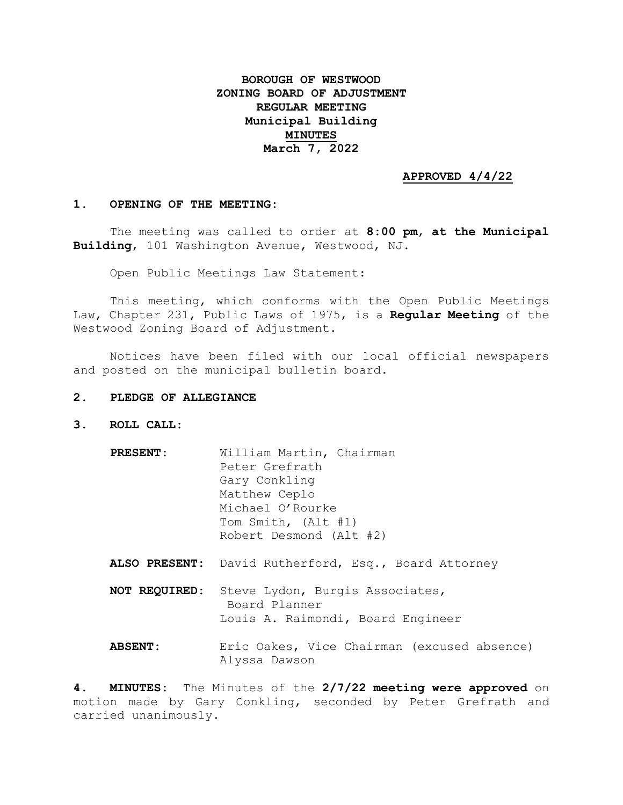## **BOROUGH OF WESTWOOD ZONING BOARD OF ADJUSTMENT REGULAR MEETING Municipal Building MINUTES March 7, 2022**

## **APPROVED 4/4/22**

## **1. OPENING OF THE MEETING:**

The meeting was called to order at **8:00 pm**, **at the Municipal Building**, 101 Washington Avenue, Westwood, NJ.

Open Public Meetings Law Statement:

This meeting, which conforms with the Open Public Meetings Law, Chapter 231, Public Laws of 1975, is a **Regular Meeting** of the Westwood Zoning Board of Adjustment.

Notices have been filed with our local official newspapers and posted on the municipal bulletin board.

## **2. PLEDGE OF ALLEGIANCE**

- **3. ROLL CALL:**
	- **PRESENT:** William Martin, Chairman Peter Grefrath Gary Conkling Matthew Ceplo Michael O'Rourke Tom Smith, (Alt #1) Robert Desmond (Alt #2) **ALSO PRESENT:** David Rutherford, Esq., Board Attorney
	- **NOT REQUIRED:** Steve Lydon, Burgis Associates, Board Planner Louis A. Raimondi, Board Engineer
	- **ABSENT:** Eric Oakes, Vice Chairman (excused absence) Alyssa Dawson

**4. MINUTES:** The Minutes of the **2/7/22 meeting were approved** on motion made by Gary Conkling, seconded by Peter Grefrath and carried unanimously.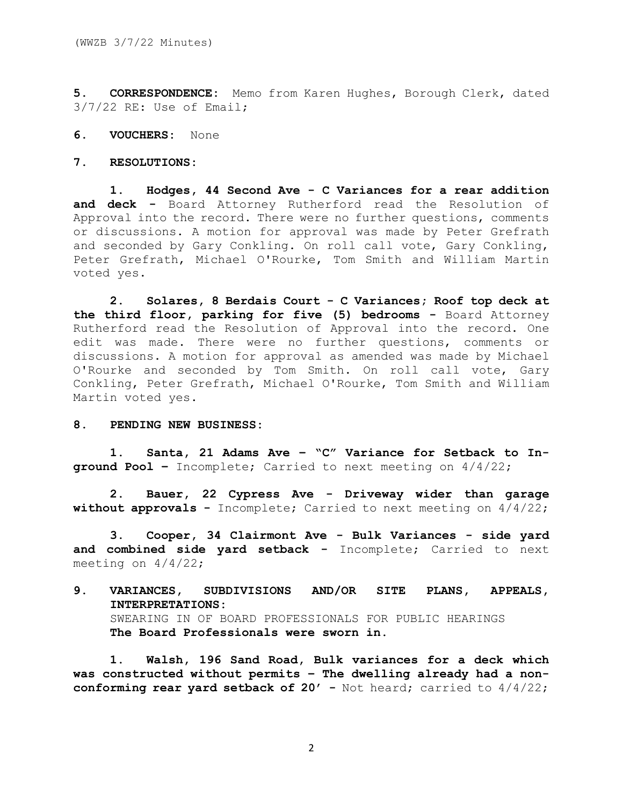**5. CORRESPONDENCE:** Memo from Karen Hughes, Borough Clerk, dated 3/7/22 RE: Use of Email;

- **6. VOUCHERS:** None
- **7. RESOLUTIONS:**

**1. Hodges, 44 Second Ave - C Variances for a rear addition and deck -** Board Attorney Rutherford read the Resolution of Approval into the record. There were no further questions, comments or discussions. A motion for approval was made by Peter Grefrath and seconded by Gary Conkling. On roll call vote, Gary Conkling, Peter Grefrath, Michael O'Rourke, Tom Smith and William Martin voted yes.

**2. Solares, 8 Berdais Court - C Variances; Roof top deck at the third floor, parking for five (5) bedrooms -** Board Attorney Rutherford read the Resolution of Approval into the record. One edit was made. There were no further questions, comments or discussions. A motion for approval as amended was made by Michael O'Rourke and seconded by Tom Smith. On roll call vote, Gary Conkling, Peter Grefrath, Michael O'Rourke, Tom Smith and William Martin voted yes.

**8. PENDING NEW BUSINESS:**

**1. Santa, 21 Adams Ave – "C" Variance for Setback to Inground Pool –** Incomplete; Carried to next meeting on 4/4/22;

**2. Bauer, 22 Cypress Ave - Driveway wider than garage without approvals -** Incomplete; Carried to next meeting on 4/4/22;

**3. Cooper, 34 Clairmont Ave - Bulk Variances - side yard and combined side yard setback -** Incomplete; Carried to next meeting on 4/4/22;

**9. VARIANCES, SUBDIVISIONS AND/OR SITE PLANS, APPEALS, INTERPRETATIONS:** SWEARING IN OF BOARD PROFESSIONALS FOR PUBLIC HEARINGS **The Board Professionals were sworn in.**

**1. Walsh, 196 Sand Road, Bulk variances for a deck which was constructed without permits – The dwelling already had a nonconforming rear yard setback of 20' -** Not heard; carried to  $4/4/22$ ;